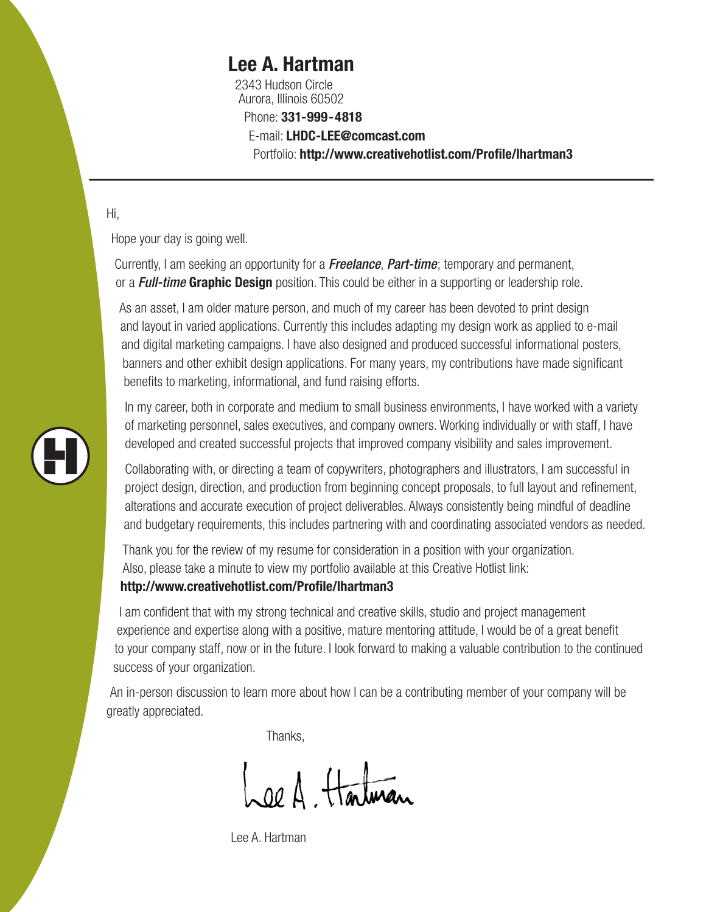## **Lee A. Hartman**

2343 Hudson Circle Aurora, Illinois 60502 Phone: **331-999-4818** E-mail: **LHDC-LEE@comcast.com** Portfolio: **http://www.creativehotlist.com/Profile/lhartman3**

### Hi,

Hope your day is going well.

Currently, I am seeking an opportunity for a *Freelance*, *Part-time*; temporary and permanent, or a *Full-time* **Graphic Design** position. This could be either in a supporting or leadership role.

As an asset, I am older mature person, and much of my career has been devoted to print design and layout in varied applications. Currently this includes adapting my design work as applied to e-mail and digital marketing campaigns. I have also designed and produced successful informational posters, banners and other exhibit design applications. For many years, my contributions have made significant benefits to marketing, informational, and fund raising efforts.

In my career, both in corporate and medium to small business environments, I have worked with a variety of marketing personnel, sales executives, and company owners. Working individually or with staff, I have developed and created successful projects that improved company visibility and sales improvement.

Collaborating with, or directing a team of copywriters, photographers and illustrators, I am successful in project design, direction, and production from beginning concept proposals, to full layout and refinement, alterations and accurate execution of project deliverables. Always consistently being mindful of deadline and budgetary requirements, this includes partnering with and coordinating associated vendors as needed.

Thank you for the review of my resume for consideration in a position with your organization. Also, please take a minute to view my portfolio available at this Creative Hotlist link:

### **http://www.creativehotlist.com/Profile/lhartman3**

I am confident that with my strong technical and creative skills, studio and project management experience and expertise along with a positive, mature mentoring attitude, I would be of a great benefit to your company staff, now or in the future. I look forward to making a valuable contribution to the continued success of your organization.

An in-person discussion to learn more about how I can be a contributing member of your company will be greatly appreciated.

Thanks,

Lee A. Hartman

Lee A. Hartman

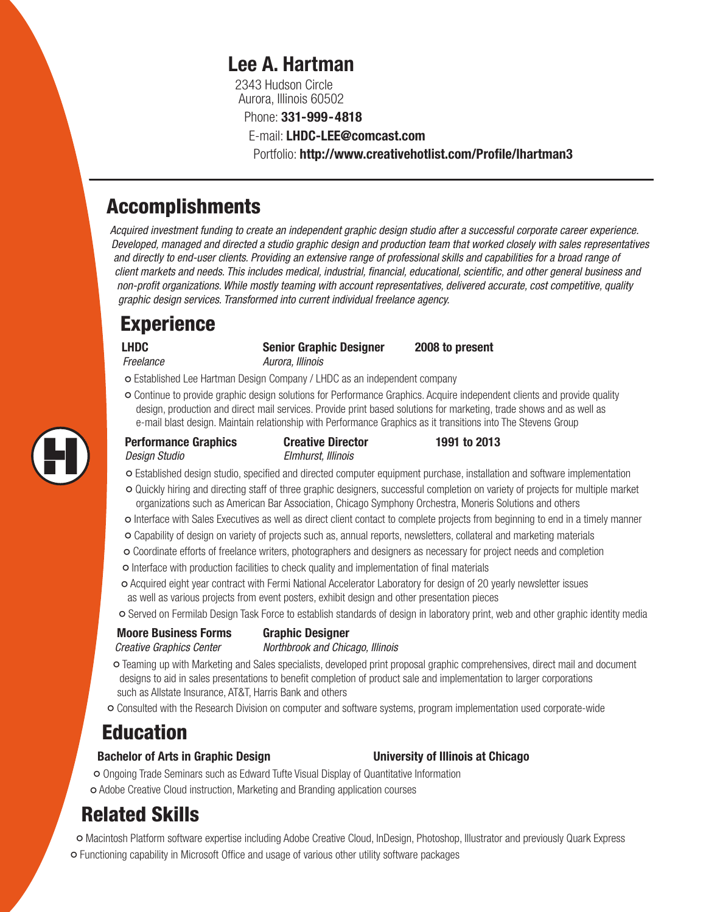## **Lee A. Hartman**

2343 Hudson Circle Aurora, Illinois 60502

Phone: **331-999-4818**

E-mail: **LHDC-LEE@comcast.com**

Portfolio: **http://www.creativehotlist.com/Profile/lhartman3**

## Accomplishments

*Acquired investment funding to create an independent graphic design studio after a successful corporate career experience. Developed, managed and directed a studio graphic design and production team that worked closely with sales representatives and directly to end-user clients. Providing an extensive range of professional skills and capabilities for a broad range of client markets and needs. This includes medical, industrial, financial, educational, scientific, and other general business and non-profit organizations. While mostly teaming with account representatives, delivered accurate, cost competitive, quality graphic design services. Transformed into current individual freelance agency.*

# **Experience**

**LHDC Senior Graphic Designer 2008 to present** *Freelance Aurora, Illinois*

° Established Lee Hartman Design Company / LHDC as an independent company

° Continue to provide graphic design solutions for Performance Graphics. Acquire independent clients and provide quality design, production and direct mail services. Provide print based solutions for marketing, trade shows and as well as e-mail blast design. Maintain relationship with Performance Graphics as it transitions into The Stevens Group

| <b>Performance Graphics</b> | <b>Creative Director</b> | 1991 to 2013 |
|-----------------------------|--------------------------|--------------|
| Design Studio               | Elmhurst, Illinois       |              |

- ° Established design studio, specified and directed computer equipment purchase, installation and software implementation
- ° Quickly hiring and directing staff of three graphic designers, successful completion on variety of projects for multiple market organizations such as American Bar Association, Chicago Symphony Orchestra, Moneris Solutions and others
- Interface with Sales Executives as well as direct client contact to complete projects from beginning to end in a timely manner<br>• Capability of decise an variety of projects auch as appuel reports, pauglatters, collateral
- Capability of design on variety of projects such as, annual reports, newsletters, collateral and marketing materials<br>• Caerdinate effects of freelenes writers, photographers and designary as pessensy for project peods an
- Coordinate efforts of freelance writers, photographers and designers as necessary for project needs and completion<br>• Interface with production feelilities to check quality and implementation of final meterials
- Interface with production facilities to check quality and implementation of final materials<br>• Agayired eight veer contract with Eermi National Asselstater Leberston, for design of 20
- O Acquired eight year contract with Fermi National Accelerator Laboratory for design of 20 yearly newsletter issues<br>as well as various projects from event posters, exhibit design and other presentation pieces as well as various projects from event posters, exhibit design and other presentation pieces
- ° Served on Fermilab Design Task Force to establish standards of design in laboratory print, web and other graphic identity media

### **Moore Business Forms Graphic Designer**

*Creative Graphics Center Northbrook and Chicago, Illinois*

- O Teaming up with Marketing and Sales specialists, developed print proposal graphic comprehensives, direct mail and document designs to be and implementation of product sale and implementation to larger corporations designs to aid in sales presentations to benefit completion of product sale and implementation to larger corporations such as Allstate Insurance, AT&T, Harris Bank and others
- ° Consulted with the Research Division on computer and software systems, program implementation used corporate-wide

# Education

### **Bachelor of Arts in Graphic Design University of Illinois at Chicago**

° Ongoing Trade Seminars such as Edward Tufte Visual Display of Quantitative Information ° Adobe Creative Cloud instruction, Marketing and Branding application courses

# Related Skills

° Macintosh Platform software expertise including Adobe Creative Cloud, InDesign, Photoshop, Illustrator and previously Quark Express ° Functioning capability in Microsoft Office and usage of various other utility software packages